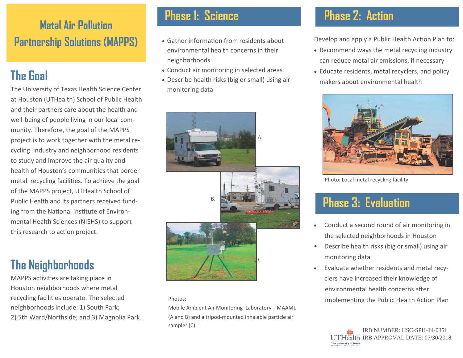## **Metal Air Pollution Partnership Solutions (MAPPS)**

# **The Goal**

The University of Texas Health Science Center at Houston (UTHealth) School of Public Health and their partners care about the health and well-being of people living in our local community. Therefore, the goal of the MAPPS project is to work together with the metal recycling industry and neighborhood residents to study and improve the air quality and health of Houston's communities that border metal recycling facilities. To achieve the goal of the MAPPS project, UTHealth School of Public Health and its partners received funding from the National Institute of Environmental Health Sciences (NIEHS) to support this research to action project.

## **The Neighborhoods**

MAPPS activities are taking place in Houston neighborhoods where metal recycling facilities operate. The selected neighborhoods include: 1) South Park; 2) 5th Ward/Northside; and 3) Magnolia Park.

#### **Phase 1: Science**

- Gather information from residents about environmental health concerns in their neighborhoods
- Conduct air monitoring in selected areas
- Describe health risks (big or small) using air monitoring data



#### Photos:

Mobile Ambient Air Monitoring Laboratory—MAAML (A and B) and a tripod-mounted inhalable particle air sampler (C)

#### **Phase 2: Action**

Develop and apply a Public Health Action Plan to:

- Recommend ways the metal recycling industry can reduce metal air emissions, if necessary
- Educate residents, metal recyclers, and policy makers about environmental health



Photo: Local metal recycling facility

### **Phase 3: Evaluation**

- $\bullet$  Conduct a second round of air monitoring in the selected neighborhoods in Houston
- Describe health risks (big or small) using air monitoring data
- $\bullet$  Evaluate whether residents and metal recyclers have increased their knowledge of environmental health concerns after implementing the Public Health Action Plan